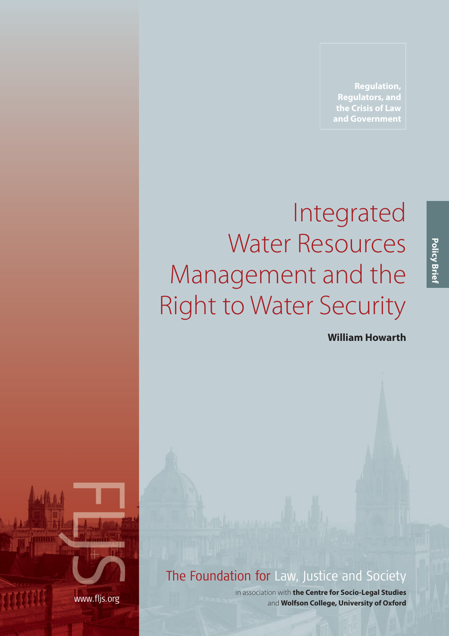**Regulation, Regulators, and the Crisis of Law and Government**

# Integrated Water Resources Management and the Right to Water Security

**William Howarth**

The Foundation for Law, Justice and Society

in association with **the Centre for Socio-Legal Studies**  and **Wolfson College, University of Oxford**



www.fljs.org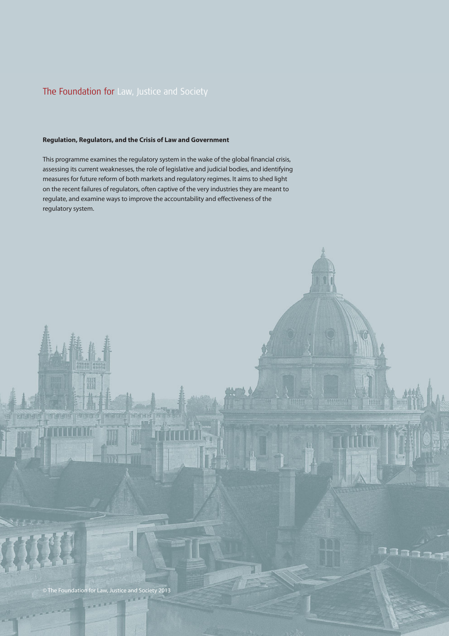### The Foundation for Law, Justice and Society

#### **Regulation, Regulators, and the Crisis of Law and Government**

This programme examines the regulatory system in the wake of the global financial crisis, assessing its current weaknesses, the role of legislative and judicial bodies, and identifying measures for future reform of both markets and regulatory regimes. It aims to shed light on the recent failures of regulators, often captive of the very industries they are meant to regulate, and examine ways to improve the accountability and effectiveness of the regulatory system.

**RANGER** 

 $111 -$ 

TELEL

**MATHI** 



enana

© The Foundation for Law, Justice and Society 2013

龍 J.

印印页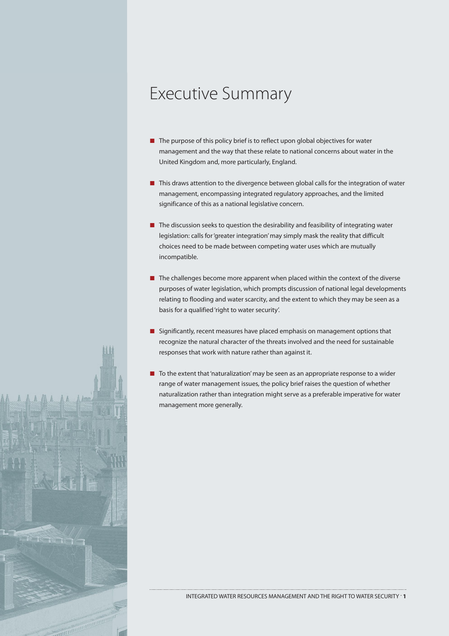### Executive Summary

- The purpose of this policy brief is to reflect upon global objectives for water management and the way that these relate to national concerns about water in the United Kingdom and, more particularly, England.
- $\blacksquare$  This draws attention to the divergence between global calls for the integration of water management, encompassing integrated regulatory approaches, and the limited significance of this as a national legislative concern.
- $\blacksquare$  The discussion seeks to question the desirability and feasibility of integrating water legislation: calls for 'greater integration' may simply mask the reality that difficult choices need to be made between competing water uses which are mutually incompatible.
- $\blacksquare$  The challenges become more apparent when placed within the context of the diverse purposes of water legislation, which prompts discussion of national legal developments relating to flooding and water scarcity, and the extent to which they may be seen as a basis for a qualified 'right to water security'.
- **n** Significantly, recent measures have placed emphasis on management options that recognize the natural character of the threats involved and the need for sustainable responses that work with nature rather than against it.
- $\blacksquare$  To the extent that 'naturalization' may be seen as an appropriate response to a wider range of water management issues, the policy brief raises the question of whether naturalization rather than integration might serve as a preferable imperative for water management more generally.



**COMMUNISTICATION**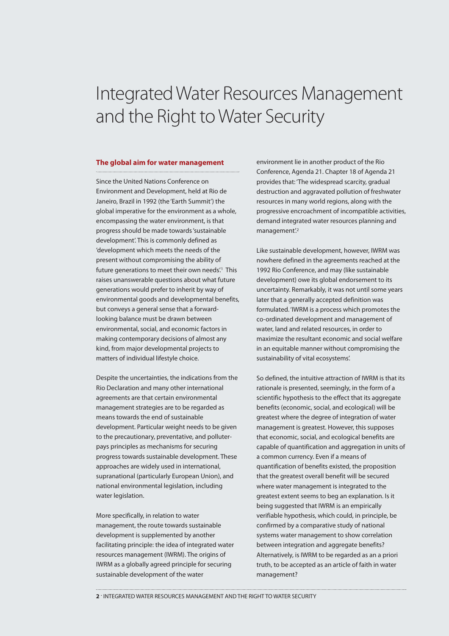## Integrated Water Resources Management and the Right to Water Security

#### **The global aim for water management**

Since the United Nations Conference on Environment and Development, held at Rio de Janeiro, Brazil in 1992 (the 'Earth Summit') the global imperative for the environment as a whole, encompassing the water environment, is that progress should be made towards 'sustainable development'. This is commonly defined as 'development which meets the needs of the present without compromising the ability of future generations to meet their own needs.<sup>1</sup> This raises unanswerable questions about what future generations would prefer to inherit by way of environmental goods and developmental benefits, but conveys a general sense that a forwardlooking balance must be drawn between environmental, social, and economic factors in making contemporary decisions of almost any kind, from major developmental projects to matters of individual lifestyle choice.

Despite the uncertainties, the indications from the Rio Declaration and many other international agreements are that certain environmental management strategies are to be regarded as means towards the end of sustainable development. Particular weight needs to be given to the precautionary, preventative, and polluterpays principles as mechanisms for securing progress towards sustainable development. These approaches are widely used in international, supranational (particularly European Union), and national environmental legislation, including water legislation.

More specifically, in relation to water management, the route towards sustainable development is supplemented by another facilitating principle: the idea of integrated water resources management (IWRM). The origins of IWRM as a globally agreed principle for securing sustainable development of the water

environment lie in another product of the Rio Conference, Agenda 21. Chapter 18 of Agenda 21 provides that: 'The widespread scarcity, gradual destruction and aggravated pollution of freshwater resources in many world regions, along with the progressive encroachment of incompatible activities, demand integrated water resources planning and management'.<sup>2</sup>

Like sustainable development, however, IWRM was nowhere defined in the agreements reached at the 1992 Rio Conference, and may (like sustainable development) owe its global endorsement to its uncertainty. Remarkably, it was not until some years later that a generally accepted definition was formulated. 'IWRM is a process which promotes the co-ordinated development and management of water, land and related resources, in order to maximize the resultant economic and social welfare in an equitable manner without compromising the sustainability of vital ecosystems'.

So defined, the intuitive attraction of IWRM is that its rationale is presented, seemingly, in the form of a scientific hypothesis to the effect that its aggregate benefits (economic, social, and ecological) will be greatest where the degree of integration of water management is greatest. However, this supposes that economic, social, and ecological benefits are capable of quantification and aggregation in units of a common currency. Even if a means of quantification of benefits existed, the proposition that the greatest overall benefit will be secured where water management is integrated to the greatest extent seems to beg an explanation. Is it being suggested that IWRM is an empirically verifiable hypothesis, which could, in principle, be confirmed by a comparative study of national systems water management to show correlation between integration and aggregate benefits? Alternatively, is IWRM to be regarded as an a priori truth, to be accepted as an article of faith in water management?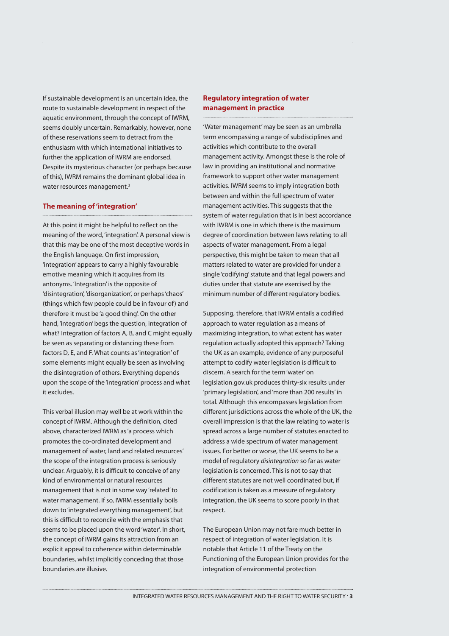If sustainable development is an uncertain idea, the route to sustainable development in respect of the aquatic environment, through the concept of IWRM, seems doubly uncertain. Remarkably, however, none of these reservations seem to detract from the enthusiasm with which international initiatives to further the application of IWRM are endorsed. Despite its mysterious character (or perhaps because of this), IWRM remains the dominant global idea in water resources management.<sup>3</sup>

#### **The meaning of 'integration'**

At this point it might be helpful to reflect on the meaning of the word, 'integration'. A personal view is that this may be one of the most deceptive words in the English language. On first impression, 'integration' appears to carry a highly favourable emotive meaning which it acquires from its antonyms. 'Integration' is the opposite of 'disintegration', 'disorganization', or perhaps 'chaos' (things which few people could be in favour of) and therefore it must be 'a good thing'. On the other hand, 'integration' begs the question, integration of what? Integration of factors A, B, and C might equally be seen as separating or distancing these from factors D, E, and F. What counts as 'integration' of some elements might equally be seen as involving the disintegration of others. Everything depends upon the scope of the 'integration' process and what it excludes.

This verbal illusion may well be at work within the concept of IWRM. Although the definition, cited above, characterized IWRM as 'a process which promotes the co-ordinated development and management of water, land and related resources' the scope of the integration process is seriously unclear. Arguably, it is difficult to conceive of any kind of environmental or natural resources management that is not in some way 'related' to water management. If so, IWRM essentially boils down to 'integrated everything management', but this is difficult to reconcile with the emphasis that seems to be placed upon the word 'water'. In short, the concept of IWRM gains its attraction from an explicit appeal to coherence within determinable boundaries, whilst implicitly conceding that those boundaries are illusive.

#### **Regulatory integration of water management in practice**

'Water management' may be seen as an umbrella term encompassing a range of subdisciplines and activities which contribute to the overall management activity. Amongst these is the role of law in providing an institutional and normative framework to support other water management activities. IWRM seems to imply integration both between and within the full spectrum of water management activities. This suggests that the system of water regulation that is in best accordance with IWRM is one in which there is the maximum degree of coordination between laws relating to all aspects of water management. From a legal perspective, this might be taken to mean that all matters related to water are provided for under a single 'codifying' statute and that legal powers and duties under that statute are exercised by the minimum number of different regulatory bodies.

Supposing, therefore, that IWRM entails a codified approach to water regulation as a means of maximizing integration, to what extent has water regulation actually adopted this approach? Taking the UK as an example, evidence of any purposeful attempt to codify water legislation is difficult to discern. A search for the term 'water' on legislation.gov.uk produces thirty-six results under 'primary legislation', and 'more than 200 results' in total. Although this encompasses legislation from different jurisdictions across the whole of the UK, the overall impression is that the law relating to water is spread across a large number of statutes enacted to address a wide spectrum of water management issues. For better or worse, the UK seems to be a model of regulatory *disintegration* so far as water legislation is concerned. This is not to say that different statutes are not well coordinated but, if codification is taken as a measure of regulatory integration, the UK seems to score poorly in that respect.

The European Union may not fare much better in respect of integration of water legislation. It is notable that Article 11 of the Treaty on the Functioning of the European Union provides for the integration of environmental protection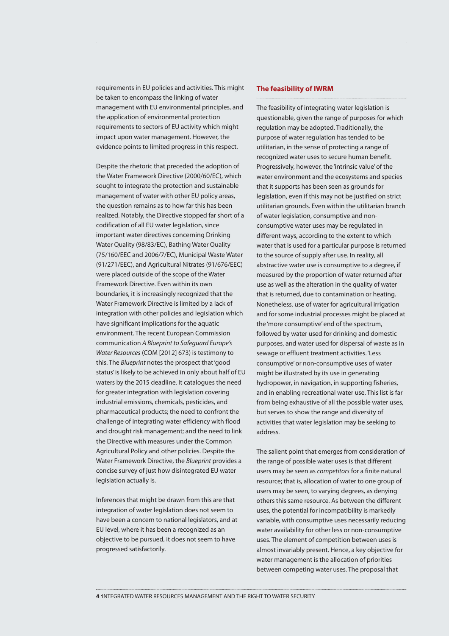requirements in EU policies and activities. This might be taken to encompass the linking of water management with EU environmental principles, and the application of environmental protection requirements to sectors of EU activity which might impact upon water management. However, the evidence points to limited progress in this respect.

Despite the rhetoric that preceded the adoption of the Water Framework Directive (2000/60/EC), which sought to integrate the protection and sustainable management of water with other EU policy areas, the question remains as to how far this has been realized. Notably, the Directive stopped far short of a codification of all EU water legislation, since important water directives concerning Drinking Water Quality (98/83/EC), Bathing Water Quality (75/160/EEC and 2006/7/EC), Municipal Waste Water (91/271/EEC), and Agricultural Nitrates (91/676/EEC) were placed outside of the scope of the Water Framework Directive. Even within its own boundaries, it is increasingly recognized that the Water Framework Directive is limited by a lack of integration with other policies and legislation which have significant implications for the aquatic environment. The recent European Commission communication *A Blueprint to Safeguard Europe's Water Resources* (COM [2012] 673) is testimony to this. The *Blueprint* notes the prospect that 'good status' is likely to be achieved in only about half of EU waters by the 2015 deadline. It catalogues the need for greater integration with legislation covering industrial emissions, chemicals, pesticides, and pharmaceutical products; the need to confront the challenge of integrating water efficiency with flood and drought risk management; and the need to link the Directive with measures under the Common Agricultural Policy and other policies. Despite the Water Framework Directive, the *Blueprint* provides a concise survey of just how disintegrated EU water legislation actually is.

Inferences that might be drawn from this are that integration of water legislation does not seem to have been a concern to national legislators, and at EU level, where it has been a recognized as an objective to be pursued, it does not seem to have progressed satisfactorily.

#### **The feasibility of IWRM**

The feasibility of integrating water legislation is questionable, given the range of purposes for which regulation may be adopted. Traditionally, the purpose of water regulation has tended to be utilitarian, in the sense of protecting a range of recognized water uses to secure human benefit. Progressively, however, the 'intrinsic value' of the water environment and the ecosystems and species that it supports has been seen as grounds for legislation, even if this may not be justified on strict utilitarian grounds. Even within the utilitarian branch of water legislation, consumptive and nonconsumptive water uses may be regulated in different ways, according to the extent to which water that is used for a particular purpose is returned to the source of supply after use. In reality, all abstractive water use is consumptive to a degree, if measured by the proportion of water returned after use as well as the alteration in the quality of water that is returned, due to contamination or heating. Nonetheless, use of water for agricultural irrigation and for some industrial processes might be placed at the 'more consumptive' end of the spectrum, followed by water used for drinking and domestic purposes, and water used for dispersal of waste as in sewage or effluent treatment activities. 'Less consumptive' or non-consumptive uses of water might be illustrated by its use in generating hydropower, in navigation, in supporting fisheries, and in enabling recreational water use. This list is far from being exhaustive of all the possible water uses, but serves to show the range and diversity of activities that water legislation may be seeking to address.

The salient point that emerges from consideration of the range of possible water uses is that different users may be seen as *competitors* for a finite natural resource; that is, allocation of water to one group of users may be seen, to varying degrees, as denying others this same resource. As between the different uses, the potential for incompatibility is markedly variable, with consumptive uses necessarily reducing water availability for other less or non-consumptive uses. The element of competition between uses is almost invariably present. Hence, a key objective for water management is the allocation of priorities between competing water uses. The proposal that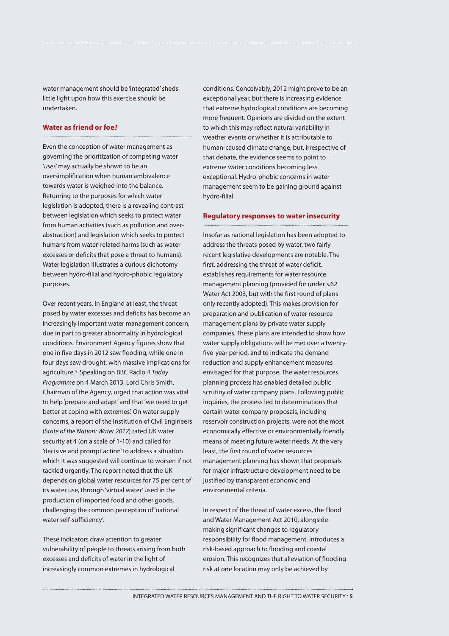water management should be 'integrated' sheds little light upon how this exercise should be undertaken.

#### **Water as friend or foe?**

Even the conception of water management as governing the prioritization of competing water '*uses*' may actually be shown to be an oversimplification when human ambivalence towards water is weighed into the balance. Returning to the purposes for which water legislation is adopted, there is a revealing contrast between legislation which seeks to protect water from human activities (such as pollution and overabstraction) and legislation which seeks to protect humans from water-related harms (such as water excesses or deficits that pose a threat to humans). Water legislation illustrates a curious dichotomy between hydro-filial and hydro-phobic regulatory purposes.

Over recent years, in England at least, the threat posed by water excesses and deficits has become an increasingly important water management concern, due in part to greater abnormality in hydrological conditions. Environment Agency figures show that one in five days in 2012 saw flooding, while one in four days saw drought, with massive implications for agriculture.4 Speaking on BBC Radio 4 *Today Programme* on 4 March 2013, Lord Chris Smith, Chairman of the Agency, urged that action was vital to help 'prepare and adapt' and that 'we need to get better at coping with extremes'. On water supply concerns, a report of the Institution of Civil Engineers (*State of the Nation: Water 2012*) rated UK water security at 4 (on a scale of 1-10) and called for 'decisive and prompt action' to address a situation which it was suggested will continue to worsen if not tackled urgently. The report noted that the UK depends on global water resources for 75 per cent of its water use, through 'virtual water' used in the production of imported food and other goods, challenging the common perception of 'national water self-sufficiency'.

These indicators draw attention to greater vulnerability of people to threats arising from both excesses and deficits of water in the light of increasingly common extremes in hydrological

conditions. Conceivably, 2012 might prove to be an exceptional year, but there is increasing evidence that extreme hydrological conditions are becoming more frequent. Opinions are divided on the extent to which this may reflect natural variability in weather events or whether it is attributable to human-caused climate change, but, irrespective of that debate, the evidence seems to point to extreme water conditions becoming less exceptional. Hydro-phobic concerns in water management seem to be gaining ground against hydro-filial.

#### **Regulatory responses to water insecurity**

Insofar as national legislation has been adopted to address the threats posed by water, two fairly recent legislative developments are notable. The first, addressing the threat of water deficit, establishes requirements for water resource management planning (provided for under s.62 Water Act 2003, but with the first round of plans only recently adopted). This makes provision for preparation and publication of water resource management plans by private water supply companies. These plans are intended to show how water supply obligations will be met over a twentyfive-year period, and to indicate the demand reduction and supply enhancement measures envisaged for that purpose. The water resources planning process has enabled detailed public scrutiny of water company plans. Following public inquiries, the process led to determinations that certain water company proposals, including reservoir construction projects, were not the most economically effective or environmentally friendly means of meeting future water needs. At the very least, the first round of water resources management planning has shown that proposals for major infrastructure development need to be justified by transparent economic and environmental criteria.

In respect of the threat of water excess, the Flood and Water Management Act 2010, alongside making significant changes to regulatory responsibility for flood management, introduces a risk-based approach to flooding and coastal erosion. This recognizes that alleviation of flooding risk at one location may only be achieved by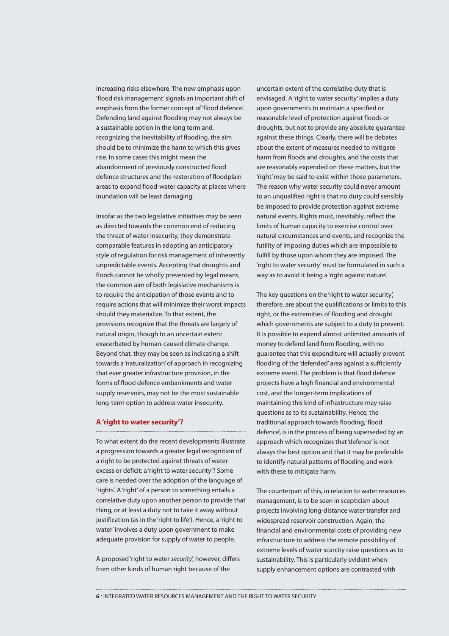increasing risks elsewhere. The new emphasis upon 'flood risk management' signals an important shift of emphasis from the former concept of 'flood defence'. Defending land against flooding may not always be a sustainable option in the long term and, recognizing the inevitability of flooding, the aim should be to minimize the harm to which this gives rise. In some cases this might mean the abandonment of previously constructed flood defence structures and the restoration of floodplain areas to expand flood-water capacity at places where inundation will be least damaging.

Insofar as the two legislative initiatives may be seen as directed towards the common end of reducing the threat of water insecurity, they demonstrate comparable features in adopting an anticipatory style of regulation for risk management of inherently unpredictable events. Accepting that droughts and floods cannot be wholly prevented by legal means, the common aim of both legislative mechanisms is to require the anticipation of those events and to require actions that will minimize their worst impacts should they materialize. To that extent, the provisions recognize that the threats are largely of natural origin, though to an uncertain extent exacerbated by human-caused climate change. Beyond that, they may be seen as indicating a shift towards a 'naturalization' of approach in recognizing that ever greater infrastructure provision, in the forms of flood defence embankments and water supply reservoirs, may not be the most sustainable long-term option to address water insecurity.

#### **A 'right to water security'?**

To what extent do the recent developments illustrate a progression towards a greater legal recognition of a right to be protected against threats of water excess or deficit: a 'right to water security'? Some care is needed over the adoption of the language of 'rights'. A 'right' of a person to something entails a correlative duty upon another person to provide that thing, or at least a duty not to take it away without justification (as in the 'right to life'). Hence, a 'right to water' involves a duty upon government to make adequate provision for supply of water to people.

A proposed 'right to water *security*', however, differs from other kinds of human right because of the

uncertain extent of the correlative duty that is envisaged. A 'right to water security' implies a duty upon governments to maintain a specified or reasonable level of protection against floods or droughts, but not to provide any absolute guarantee against these things. Clearly, there will be debates about the extent of measures needed to mitigate harm from floods and droughts, and the costs that are reasonably expended on these matters, but the 'right' may be said to exist within those parameters. The reason why water security could never amount to an unqualified right is that no duty could sensibly be imposed to provide protection against extreme natural events. Rights must, inevitably, reflect the limits of human capacity to exercise control over natural circumstances and events, and recognize the futility of imposing duties which are impossible to fulfill by those upon whom they are imposed. The 'right to water security' must be formulated in such a way as to avoid it being a 'right against nature'.

The key questions on the 'right to water security', therefore, are about the qualifications or limits to this right, or the extremities of flooding and drought which governments are subject to a duty to prevent. It is possible to expend almost unlimited amounts of money to defend land from flooding, with no guarantee that this expenditure will actually prevent flooding of the 'defended' area against a sufficiently extreme event. The problem is that flood defence projects have a high financial and environmental cost, and the longer-term implications of maintaining this kind of infrastructure may raise questions as to its sustainability. Hence, the traditional approach towards flooding, 'flood defence', is in the process of being superseded by an approach which recognizes that 'defence' is not always the best option and that it may be preferable to identify natural patterns of flooding and work with these to mitigate harm.

The counterpart of this, in relation to water resources management, is to be seen in scepticism about projects involving long-distance water transfer and widespread reservoir construction. Again, the financial and environmental costs of providing new infrastructure to address the remote possibility of extreme levels of water scarcity raise questions as to sustainability. This is particularly evident when supply enhancement options are contrasted with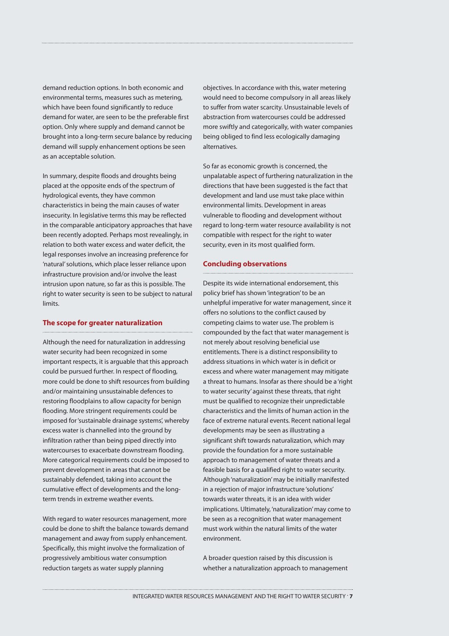demand reduction options. In both economic and environmental terms, measures such as metering, which have been found significantly to reduce demand for water, are seen to be the preferable first option. Only where supply and demand cannot be brought into a long-term secure balance by reducing demand will supply enhancement options be seen as an acceptable solution.

In summary, despite floods and droughts being placed at the opposite ends of the spectrum of hydrological events, they have common characteristics in being the main causes of water insecurity. In legislative terms this may be reflected in the comparable anticipatory approaches that have been recently adopted. Perhaps most revealingly, in relation to both water excess and water deficit, the legal responses involve an increasing preference for 'natural' solutions, which place lesser reliance upon infrastructure provision and/or involve the least intrusion upon nature, so far as this is possible. The right to water security is seen to be subject to natural limits.

#### **The scope for greater naturalization**

Although the need for naturalization in addressing water security had been recognized in some important respects, it is arguable that this approach could be pursued further. In respect of flooding, more could be done to shift resources from building and/or maintaining unsustainable defences to restoring floodplains to allow capacity for benign flooding. More stringent requirements could be imposed for 'sustainable drainage systems', whereby excess water is channelled into the ground by infiltration rather than being piped directly into watercourses to exacerbate downstream flooding. More categorical requirements could be imposed to prevent development in areas that cannot be sustainably defended, taking into account the cumulative effect of developments and the longterm trends in extreme weather events.

With regard to water resources management, more could be done to shift the balance towards demand management and away from supply enhancement. Specifically, this might involve the formalization of progressively ambitious water consumption reduction targets as water supply planning

objectives. In accordance with this, water metering would need to become compulsory in all areas likely to suffer from water scarcity. Unsustainable levels of abstraction from watercourses could be addressed more swiftly and categorically, with water companies being obliged to find less ecologically damaging alternatives.

So far as economic growth is concerned, the unpalatable aspect of furthering naturalization in the directions that have been suggested is the fact that development and land use must take place within environmental limits. Development in areas vulnerable to flooding and development without regard to long-term water resource availability is not compatible with respect for the right to water security, even in its most qualified form.

#### **Concluding observations**

Despite its wide international endorsement, this policy brief has shown 'integration' to be an unhelpful imperative for water management, since it offers no solutions to the conflict caused by competing claims to water use. The problem is compounded by the fact that water management is not merely about resolving beneficial use entitlements. There is a distinct responsibility to address situations in which water is in deficit or excess and where water management may mitigate a threat to humans. Insofar as there should be a 'right to water security' against these threats, that right must be qualified to recognize their unpredictable characteristics and the limits of human action in the face of extreme natural events. Recent national legal developments may be seen as illustrating a significant shift towards naturalization, which may provide the foundation for a more sustainable approach to management of water threats and a feasible basis for a qualified right to water security. Although 'naturalization' may be initially manifested in a rejection of major infrastructure 'solutions' towards water threats, it is an idea with wider implications. Ultimately, 'naturalization' may come to be seen as a recognition that water management must work within the natural limits of the water environment.

A broader question raised by this discussion is whether a naturalization approach to management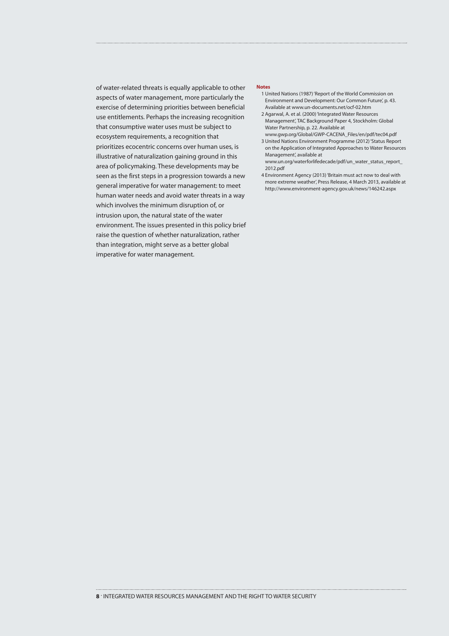of water-related threats is equally applicable to other aspects of water management, more particularly the exercise of determining priorities between beneficial use entitlements. Perhaps the increasing recognition that consumptive water uses must be subject to ecosystem requirements, a recognition that prioritizes ecocentric concerns over human uses, is illustrative of naturalization gaining ground in this area of policymaking. These developments may be seen as the first steps in a progression towards a new general imperative for water management: to meet human water needs and avoid water threats in a way which involves the minimum disruption of, or intrusion upon, the natural state of the water environment. The issues presented in this policy brief raise the question of whether naturalization, rather than integration, might serve as a better global imperative for water management.

#### **Notes**

- 1 United Nations (1987) 'Report of the World Commission on Environment and Development: Our Common Future', p. 43. Available at www.un-documents.net/ocf-02.htm
- 2 Agarwal, A. et al. (2000) 'Integrated Water Resources Management', TAC Background Paper 4, Stockholm: Global Water Partnership, p. 22. Available at
- www.gwp.org/Global/GWP-CACENA\_Files/en/pdf/tec04.pdf 3 United Nations Environment Programme (2012) 'Status Report
- on the Application of Integrated Approaches to Water Resources Management', available at [www.un.org/waterforlifedecade/pdf/un\\_water\\_status\\_report\\_](www.un.org/waterforlifedecade/pdf/un_water_status_report_2012.pdf)
- 2012.pdf 4 Environment Agency (2013) 'Britain must act now to deal with
- more extreme weather', Press Release, 4 March 2013, available at http://www.environment-agency.gov.uk/news/146242.aspx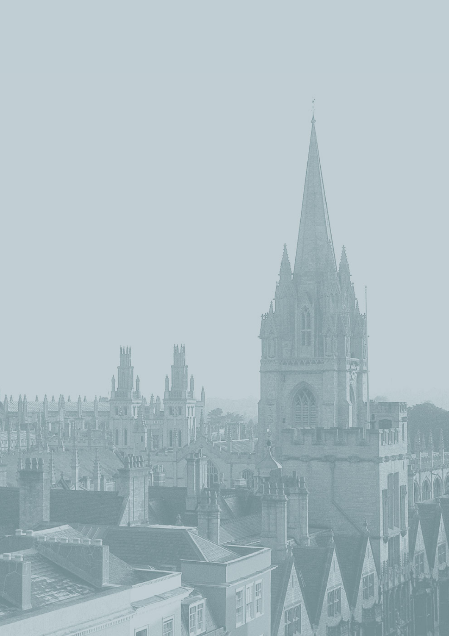